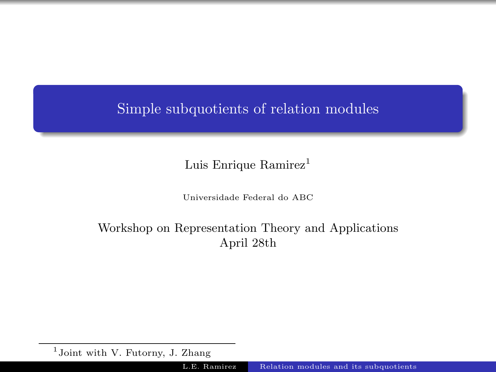# <span id="page-0-0"></span>Simple subquotients of relation modules

Luis Enrique  $\text{Ramirez}^1$ 

Universidade Federal do ABC

# Workshop on Representation Theory and Applications April 28th

<sup>&</sup>lt;sup>1</sup>Joint with V. Futorny, J. Zhang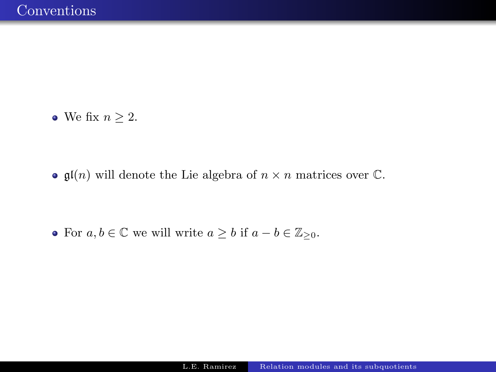• We fix  $n \geq 2$ .

•  $\mathfrak{gl}(n)$  will denote the Lie algebra of  $n \times n$  matrices over  $\mathbb{C}$ .

• For  $a, b \in \mathbb{C}$  we will write  $a \geq b$  if  $a - b \in \mathbb{Z}_{\geq 0}$ .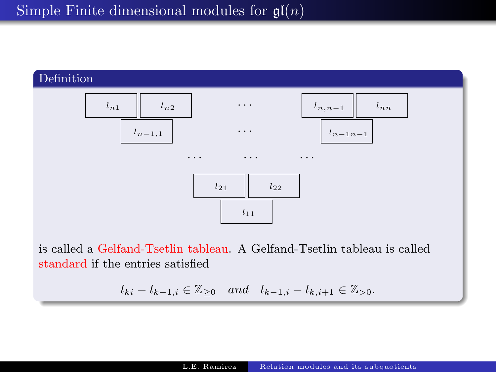

is called a Gelfand-Tsetlin tableau. A Gelfand-Tsetlin tableau is called standard if the entries satisfied

$$
l_{ki} - l_{k-1,i} \in \mathbb{Z}_{\geq 0}
$$
 and  $l_{k-1,i} - l_{k,i+1} \in \mathbb{Z}_{> 0}$ .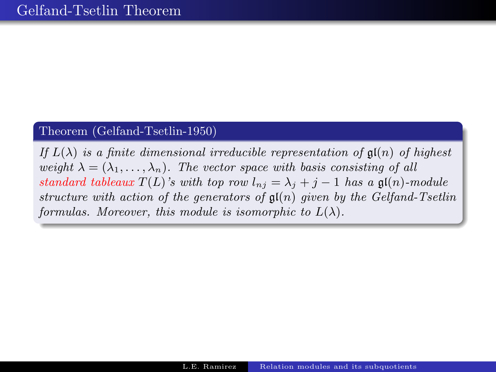### Theorem (Gelfand-Tsetlin-1950)

If  $L(\lambda)$  is a finite dimensional irreducible representation of  $\mathfrak{gl}(n)$  of highest weight  $\lambda = (\lambda_1, \ldots, \lambda_n)$ . The vector space with basis consisting of all standard tableaux  $T(L)$ 's with top row  $l_{nj} = \lambda_j + j - 1$  has a  $\mathfrak{gl}(n)$ -module structure with action of the generators of  $\mathfrak{gl}(n)$  given by the Gelfand-Tsetlin formulas. Moreover, this module is isomorphic to  $L(\lambda)$ .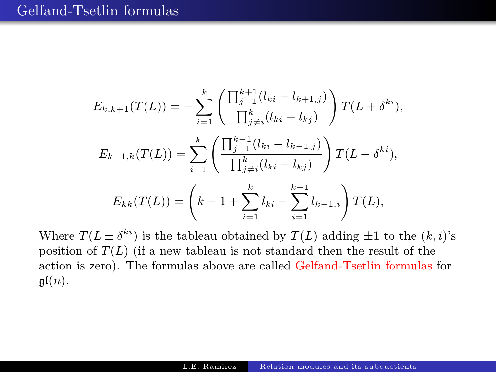$$
E_{k,k+1}(T(L)) = -\sum_{i=1}^{k} \left( \frac{\prod_{j=1}^{k+1} (l_{ki} - l_{k+1,j})}{\prod_{j\neq i}^{k} (l_{ki} - l_{kj})} \right) T(L + \delta^{ki}),
$$
  

$$
E_{k+1,k}(T(L)) = \sum_{i=1}^{k} \left( \frac{\prod_{j=1}^{k-1} (l_{ki} - l_{k-1,j})}{\prod_{j\neq i}^{k} (l_{ki} - l_{kj})} \right) T(L - \delta^{ki}),
$$
  

$$
E_{kk}(T(L)) = \left( k - 1 + \sum_{i=1}^{k} l_{ki} - \sum_{i=1}^{k-1} l_{k-1,i} \right) T(L),
$$

Where  $T(L \pm \delta^{ki})$  is the tableau obtained by  $T(L)$  adding  $\pm 1$  to the  $(k, i)$ 's position of  $T(L)$  (if a new tableau is not standard then the result of the action is zero). The formulas above are called Gelfand-Tsetlin formulas for  $\mathfrak{gl}(n)$ .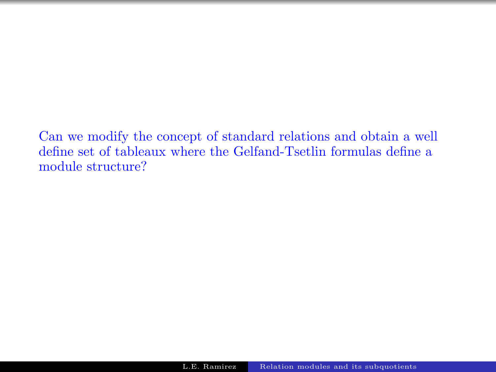Can we modify the concept of standard relations and obtain a well define set of tableaux where the Gelfand-Tsetlin formulas define a module structure?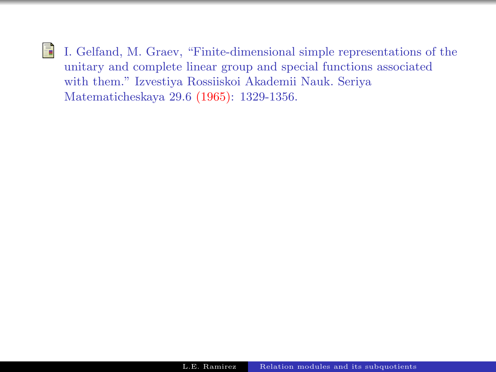畐 I. Gelfand, M. Graev, "Finite-dimensional simple representations of the unitary and complete linear group and special functions associated with them." Izvestiya Rossiiskoi Akademii Nauk. Seriya Matematicheskaya 29.6 (1965): 1329-1356.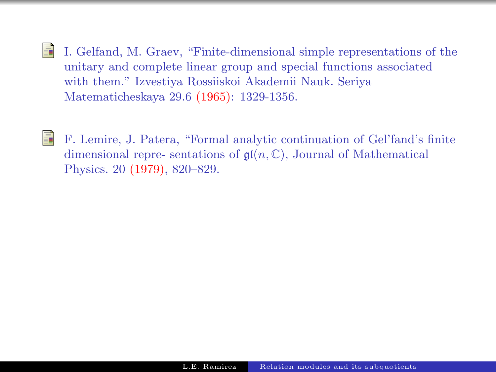- 量 I. Gelfand, M. Graev, "Finite-dimensional simple representations of the unitary and complete linear group and special functions associated with them." Izvestiya Rossiiskoi Akademii Nauk. Seriya Matematicheskaya 29.6 (1965): 1329-1356.
- 量

F. Lemire, J. Patera, "Formal analytic continuation of Gel'fand's finite dimensional repre- sentations of  $\mathfrak{gl}(n,\mathbb{C})$ , Journal of Mathematical Physics. 20 (1979), 820–829.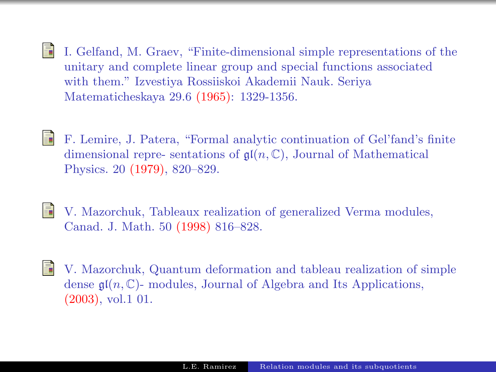- 螶 I. Gelfand, M. Graev, "Finite-dimensional simple representations of the unitary and complete linear group and special functions associated with them." Izvestiya Rossiiskoi Akademii Nauk. Seriya Matematicheskaya 29.6 (1965): 1329-1356.
- S.

F. Lemire, J. Patera, "Formal analytic continuation of Gel'fand's finite dimensional repre- sentations of  $\mathfrak{gl}(n,\mathbb{C})$ , Journal of Mathematical Physics. 20 (1979), 820–829.

- S. V. Mazorchuk, Tableaux realization of generalized Verma modules, Canad. J. Math. 50 (1998) 816–828.
- V. Mazorchuk, Quantum deformation and tableau realization of simple 晶 dense  $\mathfrak{gl}(n,\mathbb{C})$ - modules, Journal of Algebra and Its Applications, (2003), vol.1 01.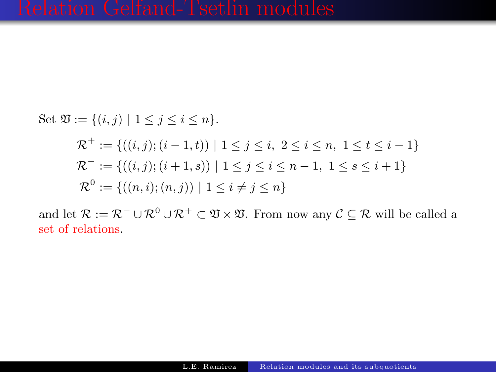Set 
$$
\mathfrak{V} := \{(i, j) | 1 \leq j \leq i \leq n\}.
$$
  
\n
$$
\mathcal{R}^+ := \{((i, j); (i - 1, t)) | 1 \leq j \leq i, 2 \leq i \leq n, 1 \leq t \leq i - 1\}
$$
\n
$$
\mathcal{R}^- := \{((i, j); (i + 1, s)) | 1 \leq j \leq i \leq n - 1, 1 \leq s \leq i + 1\}
$$
\n
$$
\mathcal{R}^0 := \{((n, i); (n, j)) | 1 \leq i \neq j \leq n\}
$$

and let  $\mathcal{R} := \mathcal{R}^- \cup \mathcal{R}^0 \cup \mathcal{R}^+ \subset \mathfrak{V} \times \mathfrak{V}$ . From now any  $\mathcal{C} \subseteq \mathcal{R}$  will be called a set of relations.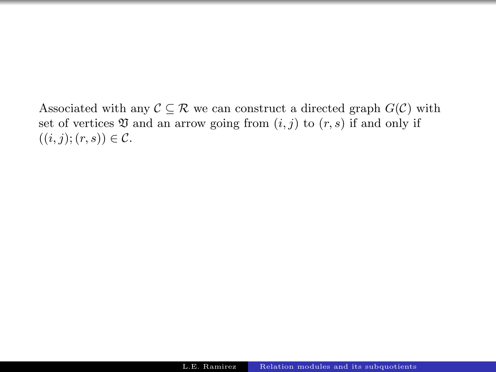Associated with any  $\mathcal{C} \subseteq \mathcal{R}$  we can construct a directed graph  $G(\mathcal{C})$  with set of vertices  $\mathfrak V$  and an arrow going from  $(i, j)$  to  $(r, s)$  if and only if  $((i, j); (r, s)) \in \mathcal{C}.$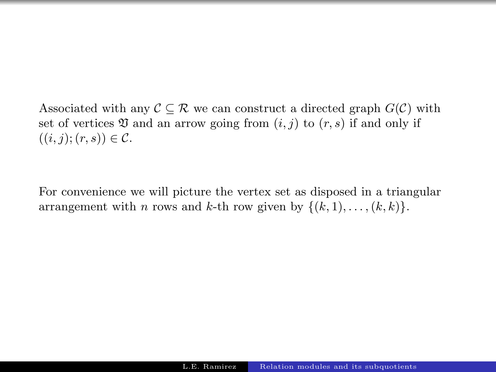Associated with any  $\mathcal{C} \subseteq \mathcal{R}$  we can construct a directed graph  $G(\mathcal{C})$  with set of vertices  $\mathfrak V$  and an arrow going from  $(i, j)$  to  $(r, s)$  if and only if  $((i, j); (r, s)) \in \mathcal{C}.$ 

For convenience we will picture the vertex set as disposed in a triangular arrangement with *n* rows and *k*-th row given by  $\{(k, 1), \ldots, (k, k)\}.$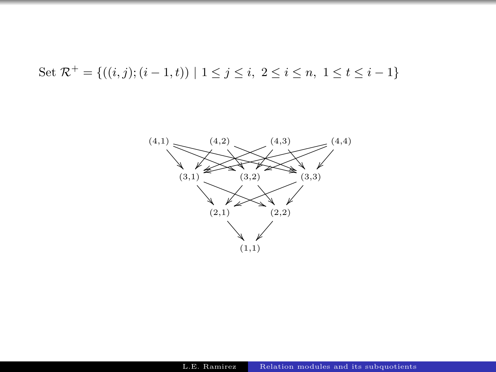Set 
$$
\mathcal{R}^+ = \{((i, j); (i - 1, t)) \mid 1 \leq j \leq i, 2 \leq i \leq n, 1 \leq t \leq i - 1\}
$$

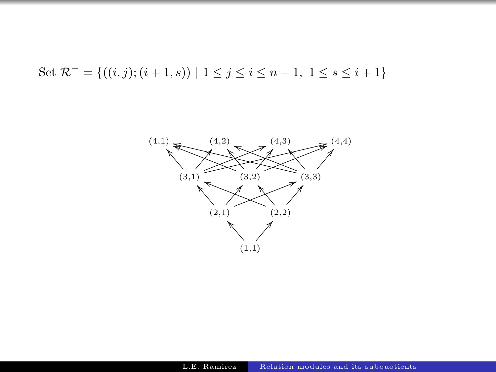Set 
$$
\mathcal{R}^- = \{((i, j); (i + 1, s)) \mid 1 \le j \le i \le n - 1, 1 \le s \le i + 1\}
$$

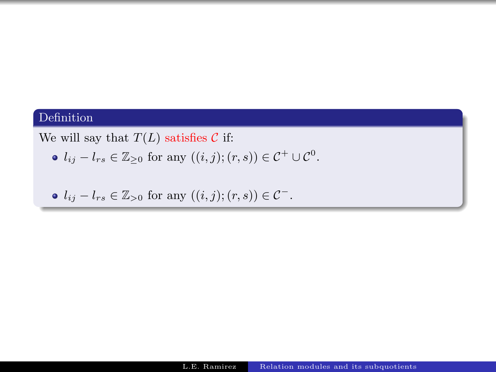### Definition

We will say that  $T(L)$  satisfies C if:

 $l_{ij} - l_{rs} \in \mathbb{Z}_{\geq 0}$  for any  $((i, j); (r, s)) \in \mathcal{C}^+ \cup \mathcal{C}^0$ .

•  $l_{ij} - l_{rs} \in \mathbb{Z}_{\geq 0}$  for any  $((i, j); (r, s)) \in \mathcal{C}^-$ .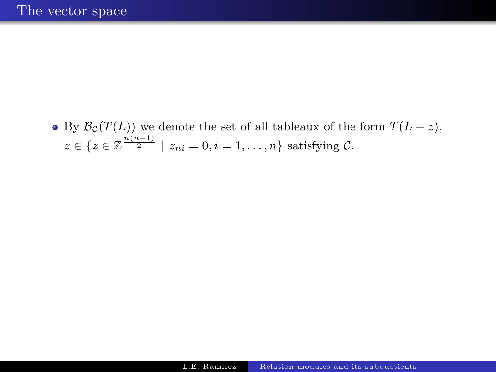• By  $\mathcal{B}_{\mathcal{C}}(T(L))$  we denote the set of all tableaux of the form  $T(L + z)$ ,  $z \in \{z \in \mathbb{Z}^{\frac{n(n+1)}{2}} \mid z_{ni} = 0, i = 1, \ldots, n\}$  satisfying C.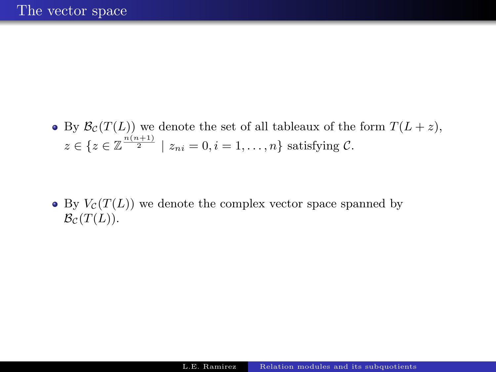• By  $\mathcal{B}_{\mathcal{C}}(T(L))$  we denote the set of all tableaux of the form  $T(L+z)$ ,  $z \in \{z \in \mathbb{Z}^{\frac{n(n+1)}{2}} \mid z_{ni} = 0, i = 1, \ldots, n\}$  satisfying C.

 $\bullet$  By  $V_c(T(L))$  we denote the complex vector space spanned by  $B_{\mathcal{C}}(T(L)).$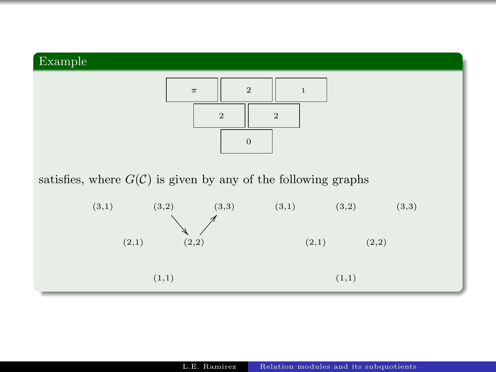



satisfies, where  $G(\mathcal{C})$  is given by any of the following graphs

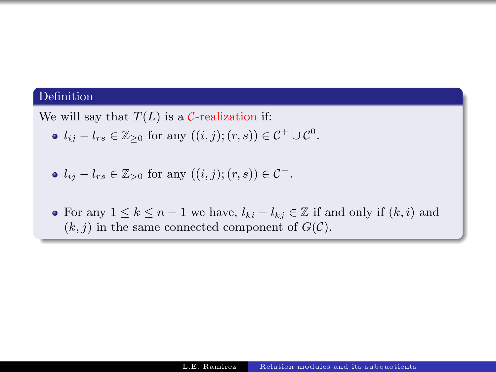### Definition

We will say that  $T(L)$  is a C-realization if:

 $l_{ij} - l_{rs} \in \mathbb{Z}_{\geq 0}$  for any  $((i, j); (r, s)) \in \mathcal{C}^+ \cup \mathcal{C}^0$ .

• 
$$
l_{ij} - l_{rs} \in \mathbb{Z}_{>0}
$$
 for any  $((i, j); (r, s)) \in \mathcal{C}^-$ .

• For any  $1 \leq k \leq n-1$  we have,  $l_{ki} - l_{kj} \in \mathbb{Z}$  if and only if  $(k, i)$  and  $(k, j)$  in the same connected component of  $G(\mathcal{C})$ .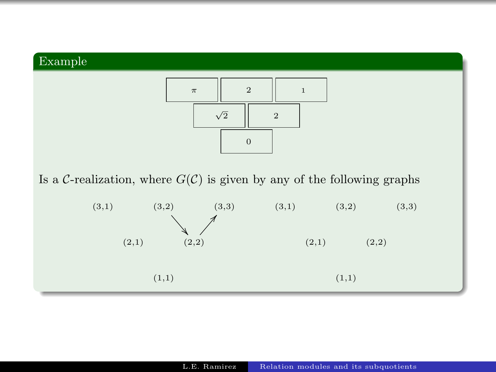



Is a C-realization, where  $G(\mathcal{C})$  is given by any of the following graphs

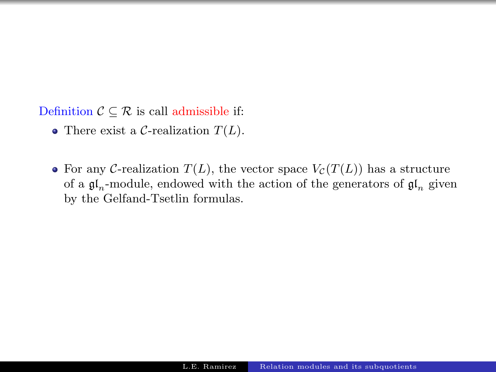Definition  $C \subseteq \mathcal{R}$  is call admissible if:

- There exist a C-realization  $T(L)$ .
- For any C-realization  $T(L)$ , the vector space  $V_c(T(L))$  has a structure of a  $\mathfrak{gl}_n$ -module, endowed with the action of the generators of  $\mathfrak{gl}_n$  given by the Gelfand-Tsetlin formulas.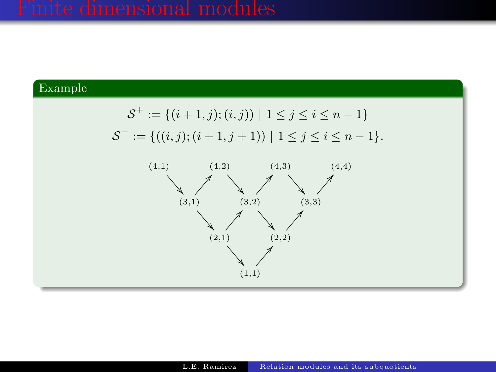### Example

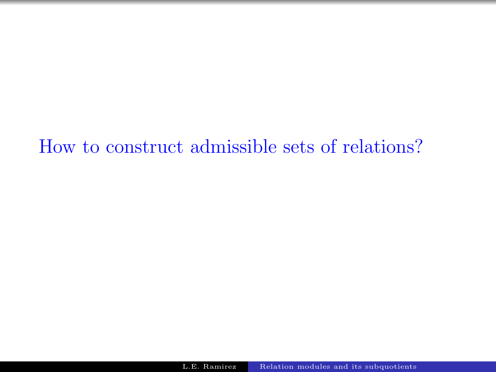How to construct admissible sets of relations?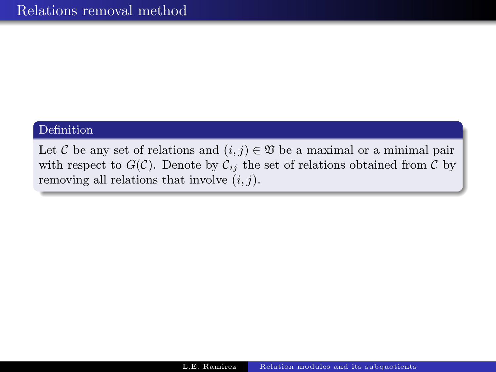### Definition

Let C be any set of relations and  $(i, j) \in \mathfrak{V}$  be a maximal or a minimal pair with respect to  $G(\mathcal{C})$ . Denote by  $\mathcal{C}_{ij}$  the set of relations obtained from  $\mathcal C$  by removing all relations that involve  $(i, j)$ .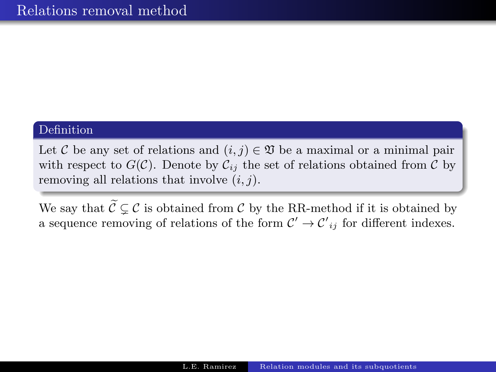### Definition

Let C be any set of relations and  $(i, j) \in \mathfrak{V}$  be a maximal or a minimal pair with respect to  $G(\mathcal{C})$ . Denote by  $\mathcal{C}_{ij}$  the set of relations obtained from  $\mathcal{C}$  by removing all relations that involve  $(i, j)$ .

We say that  $\widetilde{C} \subset C$  is obtained from C by the RR-method if it is obtained by a sequence removing of relations of the form  $\mathcal{C}' \to \mathcal{C'}_{ij}$  for different indexes.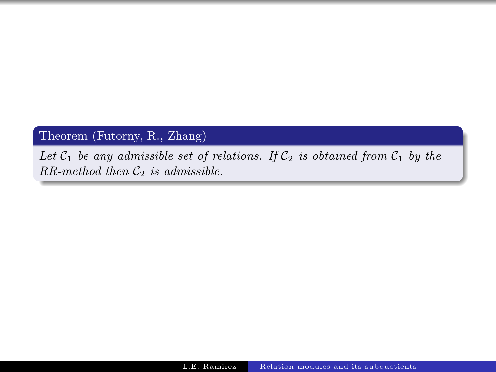# Theorem (Futorny, R., Zhang)

Let  $C_1$  be any admissible set of relations. If  $C_2$  is obtained from  $C_1$  by the  $RR$ -method then  $C_2$  is admissible.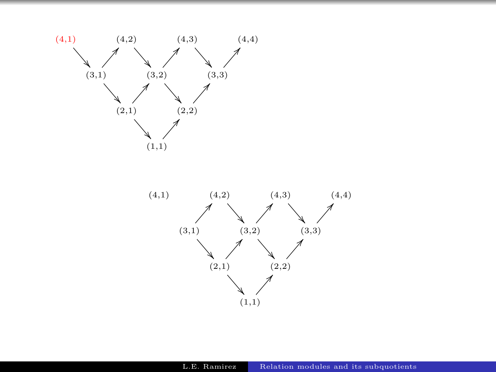

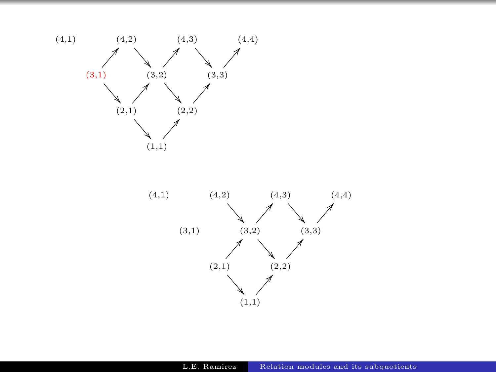

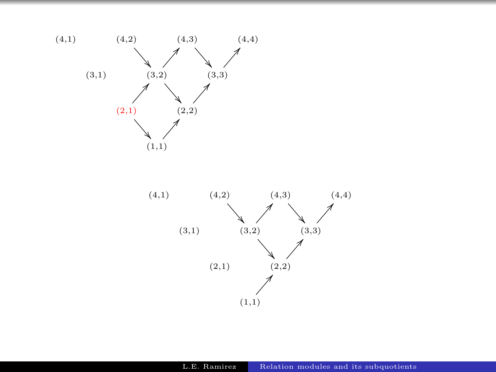

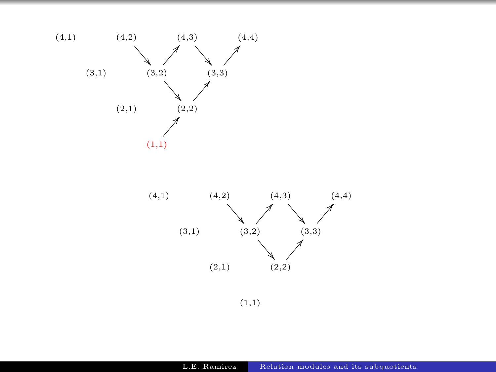



(1,1)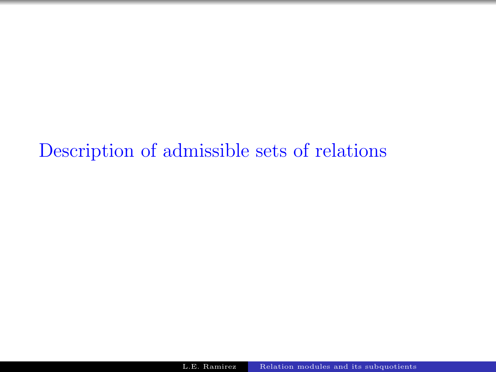Description of admissible sets of relations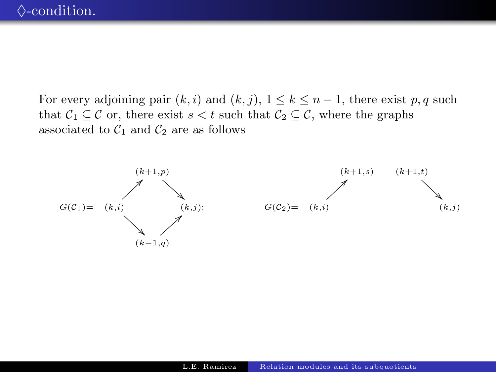For every adjoining pair  $(k, i)$  and  $(k, j)$ ,  $1 \leq k \leq n - 1$ , there exist p, q such that  $C_1 \subseteq C$  or, there exist  $s < t$  such that  $C_2 \subseteq C$ , where the graphs associated to  $\mathcal{C}_1$  and  $\mathcal{C}_2$  are as follows



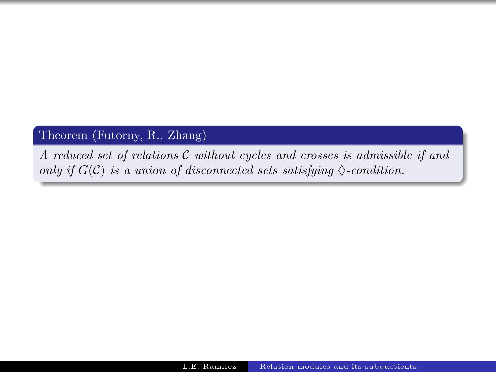# Theorem (Futorny, R., Zhang)

A reduced set of relations C without cycles and crosses is admissible if and only if  $G(\mathcal{C})$  is a union of disconnected sets satisfying  $\Diamond$ -condition.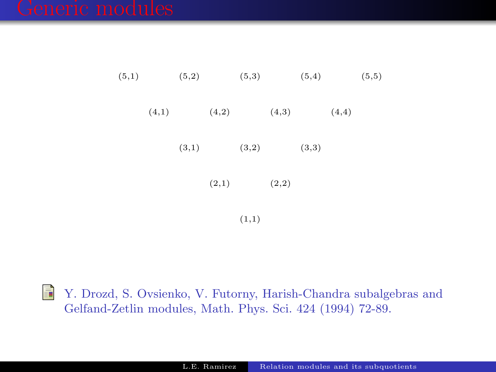| (5,1) |       | (5,2) |       | (5,3) |       | (5,4) |       | (5,5) |
|-------|-------|-------|-------|-------|-------|-------|-------|-------|
|       | (4,1) |       | (4,2) |       | (4,3) |       | (4,4) |       |
|       |       | (3,1) |       | (3,2) |       | (3,3) |       |       |
|       |       |       | (2,1) |       | (2,2) |       |       |       |
|       |       |       |       |       |       |       |       |       |

(1,1)

F Y. Drozd, S. Ovsienko, V. Futorny, Harish-Chandra subalgebras and Gelfand-Zetlin modules, Math. Phys. Sci. 424 (1994) 72-89.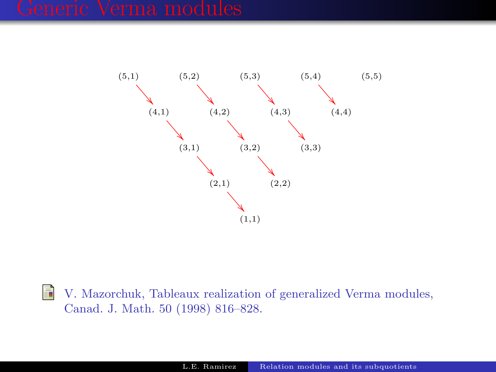

F V. Mazorchuk, Tableaux realization of generalized Verma modules, Canad. J. Math. 50 (1998) 816–828.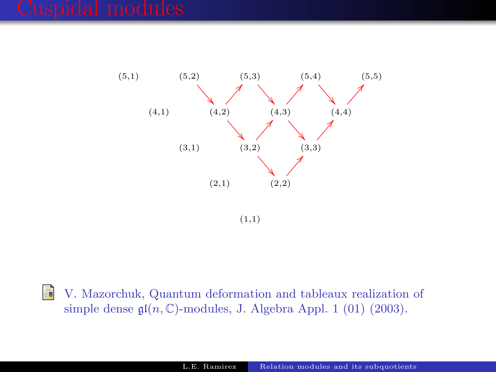

(1,1)

F V. Mazorchuk, Quantum deformation and tableaux realization of simple dense  $\mathfrak{gl}(n,\mathbb{C})$ -modules, J. Algebra Appl. 1 (01) (2003).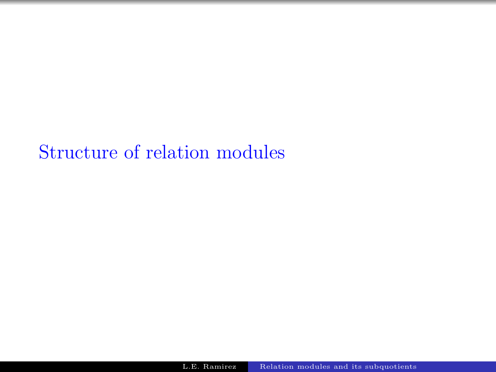Structure of relation modules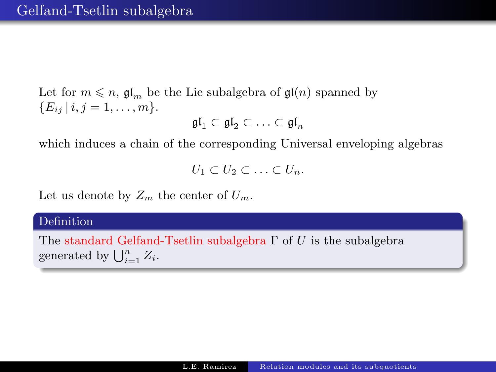Let for  $m \leq n$ ,  $\mathfrak{gl}_m$  be the Lie subalgebra of  $\mathfrak{gl}(n)$  spanned by  ${E_{ij} | i, j = 1, \ldots, m}.$ 

$$
\mathfrak{gl}_1\subset\mathfrak{gl}_2\subset\ldots\subset\mathfrak{gl}_n
$$

which induces a chain of the corresponding Universal enveloping algebras

$$
U_1 \subset U_2 \subset \ldots \subset U_n.
$$

Let us denote by  $Z_m$  the center of  $U_m$ .

### Definition

The standard Gelfand-Tsetlin subalgebra  $\Gamma$  of U is the subalgebra generated by  $\bigcup_{i=1}^n Z_i$ .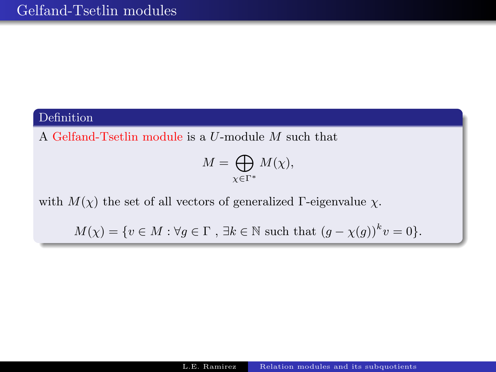# Definition

A Gelfand-Tsetlin module is a U-module M such that

$$
M = \bigoplus_{\chi \in \Gamma^*} M(\chi),
$$

with  $M(\chi)$  the set of all vectors of generalized Γ-eigenvalue  $\chi$ .

 $M(\chi) = \{v \in M : \forall g \in \Gamma, \exists k \in \mathbb{N} \text{ such that } (g - \chi(g))^k v = 0\}.$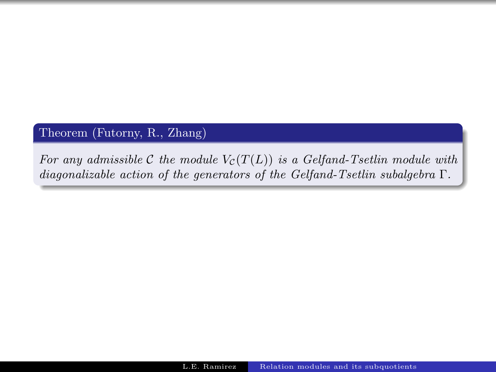### Theorem (Futorny, R., Zhang)

For any admissible C the module  $V_c(T(L))$  is a Gelfand-Tsetlin module with diagonalizable action of the generators of the Gelfand-Tsetlin subalgebra Γ.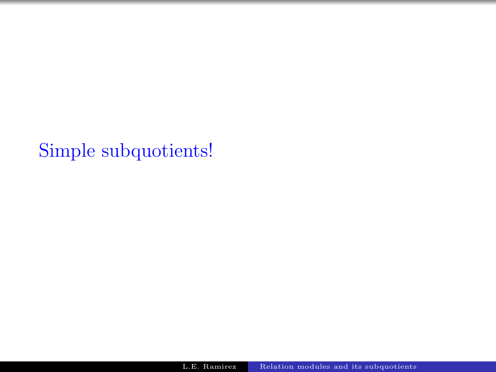Simple subquotients!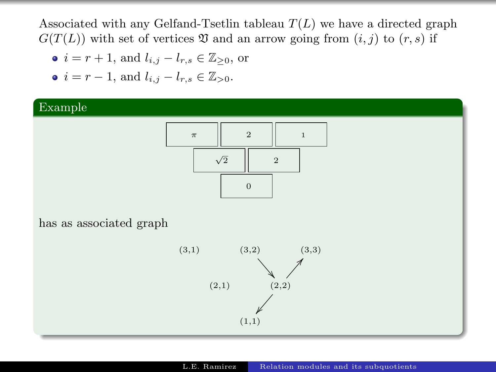Associated with any Gelfand-Tsetlin tableau  $T(L)$  we have a directed graph  $G(T(L))$  with set of vertices  $\mathfrak V$  and an arrow going from  $(i, j)$  to  $(r, s)$  if

- $i = r + 1$ , and  $l_{i,j} l_{r,s} \in \mathbb{Z}_{\geq 0}$ , or
- $i = r 1$ , and  $l_{i,j} l_{r,s} \in \mathbb{Z}_{>0}$ .

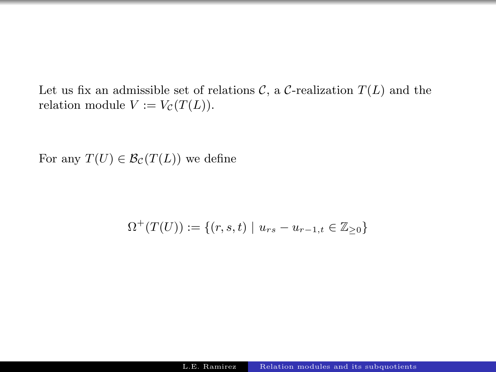Let us fix an admissible set of relations  $\mathcal{C}$ , a  $\mathcal{C}$ -realization  $T(L)$  and the relation module  $V := V_{\mathcal{C}}(T(L)).$ 

For any  $T(U) \in \mathcal{B}_{\mathcal{C}}(T(L))$  we define

$$
\Omega^+(T(U)) := \{ (r, s, t) \mid u_{rs} - u_{r-1, t} \in \mathbb{Z}_{\geq 0} \}
$$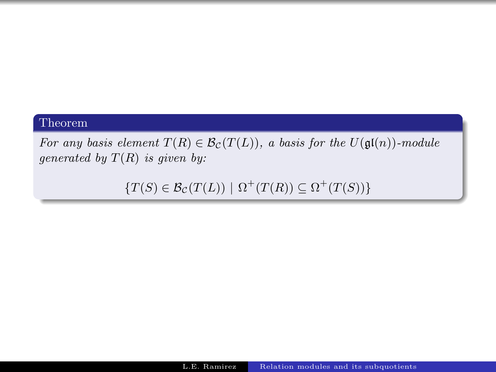### Theorem

For any basis element  $T(R) \in \mathcal{B}_{\mathcal{C}}(T(L))$ , a basis for the  $U(\mathfrak{gl}(n))$ -module generated by  $T(R)$  is given by:

 ${T(S) \in \mathcal{B}_{\mathcal{C}}(T(L)) \mid \Omega^+(T(R)) \subseteq \Omega^+(T(S))}$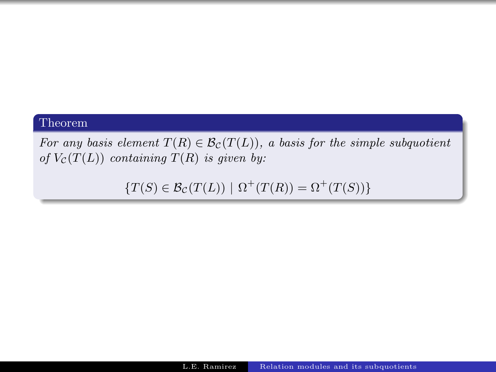### Theorem

For any basis element  $T(R) \in \mathcal{B}_{\mathcal{C}}(T(L))$ , a basis for the simple subquotient of  $V_c(T(L))$  containing  $T(R)$  is given by:

 ${T(S) \in \mathcal{B}_{\mathcal{C}}(T(L)) | \Omega^{+}(T(R)) = \Omega^{+}(T(S))}$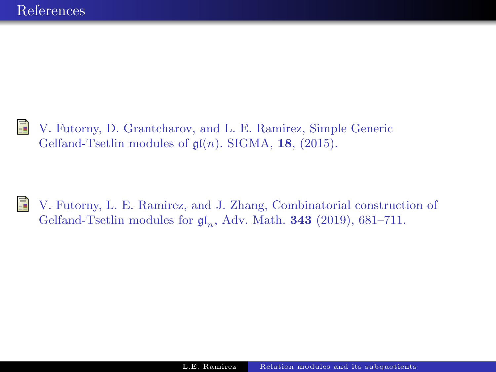V. Futorny, D. Grantcharov, and L. E. Ramirez, Simple Generic 譶 Gelfand-Tsetlin modules of  $\mathfrak{gl}(n)$ . SIGMA, 18, (2015).



V. Futorny, L. E. Ramirez, and J. Zhang, Combinatorial construction of Gelfand-Tsetlin modules for  $\mathfrak{gl}_n$ , Adv. Math. **343** (2019), 681–711.